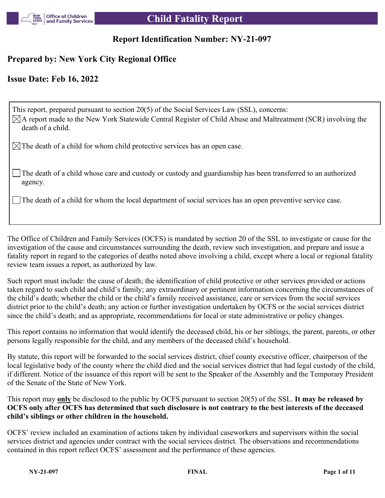

# **Report Identification Number: NY-21-097**

# **Prepared by: New York City Regional Office**

# **Issue Date: Feb 16, 2022**

This report, prepared pursuant to section 20(5) of the Social Services Law (SSL), concerns:  $\boxtimes$ A report made to the New York Statewide Central Register of Child Abuse and Maltreatment (SCR) involving the death of a child.

 $\boxtimes$  The death of a child for whom child protective services has an open case.

The death of a child whose care and custody or custody and guardianship has been transferred to an authorized agency.

The death of a child for whom the local department of social services has an open preventive service case.

The Office of Children and Family Services (OCFS) is mandated by section 20 of the SSL to investigate or cause for the investigation of the cause and circumstances surrounding the death, review such investigation, and prepare and issue a fatality report in regard to the categories of deaths noted above involving a child, except where a local or regional fatality review team issues a report, as authorized by law.

Such report must include: the cause of death; the identification of child protective or other services provided or actions taken regard to such child and child's family; any extraordinary or pertinent information concerning the circumstances of the child's death; whether the child or the child's family received assistance, care or services from the social services district prior to the child's death; any action or further investigation undertaken by OCFS or the social services district since the child's death; and as appropriate, recommendations for local or state administrative or policy changes.

This report contains no information that would identify the deceased child, his or her siblings, the parent, parents, or other persons legally responsible for the child, and any members of the deceased child's household.

By statute, this report will be forwarded to the social services district, chief county executive officer, chairperson of the local legislative body of the county where the child died and the social services district that had legal custody of the child, if different. Notice of the issuance of this report will be sent to the Speaker of the Assembly and the Temporary President of the Senate of the State of New York.

This report may **only** be disclosed to the public by OCFS pursuant to section 20(5) of the SSL. **It may be released by OCFS only after OCFS has determined that such disclosure is not contrary to the best interests of the deceased child's siblings or other children in the household.**

OCFS' review included an examination of actions taken by individual caseworkers and supervisors within the social services district and agencies under contract with the social services district. The observations and recommendations contained in this report reflect OCFS' assessment and the performance of these agencies.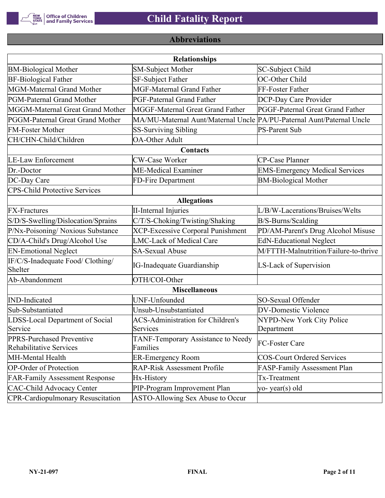

# **Abbreviations**

|                                                      | <b>Relationships</b>                                                  |                                       |
|------------------------------------------------------|-----------------------------------------------------------------------|---------------------------------------|
| <b>BM-Biological Mother</b>                          | <b>SM-Subject Mother</b>                                              | SC-Subject Child                      |
| <b>BF-Biological Father</b>                          | SF-Subject Father                                                     | OC-Other Child                        |
| MGM-Maternal Grand Mother                            | <b>MGF-Maternal Grand Father</b>                                      | FF-Foster Father                      |
| PGM-Paternal Grand Mother                            | PGF-Paternal Grand Father                                             | DCP-Day Care Provider                 |
| MGGM-Maternal Great Grand Mother                     | MGGF-Maternal Great Grand Father                                      | PGGF-Paternal Great Grand Father      |
| PGGM-Paternal Great Grand Mother                     | MA/MU-Maternal Aunt/Maternal Uncle PA/PU-Paternal Aunt/Paternal Uncle |                                       |
| <b>FM-Foster Mother</b>                              | <b>SS-Surviving Sibling</b>                                           | <b>PS-Parent Sub</b>                  |
| CH/CHN-Child/Children                                | <b>OA-Other Adult</b>                                                 |                                       |
|                                                      | Contacts                                                              |                                       |
| <b>LE-Law Enforcement</b>                            | <b>CW-Case Worker</b>                                                 | CP-Case Planner                       |
| Dr.-Doctor                                           | ME-Medical Examiner                                                   | <b>EMS-Emergency Medical Services</b> |
| DC-Day Care                                          | FD-Fire Department                                                    | <b>BM-Biological Mother</b>           |
| <b>CPS-Child Protective Services</b>                 |                                                                       |                                       |
|                                                      | <b>Allegations</b>                                                    |                                       |
| <b>FX-Fractures</b>                                  | <b>II-Internal Injuries</b>                                           | L/B/W-Lacerations/Bruises/Welts       |
| S/D/S-Swelling/Dislocation/Sprains                   | C/T/S-Choking/Twisting/Shaking                                        | B/S-Burns/Scalding                    |
| P/Nx-Poisoning/ Noxious Substance                    | <b>XCP-Excessive Corporal Punishment</b>                              | PD/AM-Parent's Drug Alcohol Misuse    |
| CD/A-Child's Drug/Alcohol Use                        | <b>LMC-Lack of Medical Care</b>                                       | <b>EdN-Educational Neglect</b>        |
| <b>EN-Emotional Neglect</b>                          | <b>SA-Sexual Abuse</b>                                                | M/FTTH-Malnutrition/Failure-to-thrive |
| IF/C/S-Inadequate Food/ Clothing/<br>Shelter         | <b>IG-Inadequate Guardianship</b>                                     | LS-Lack of Supervision                |
| Ab-Abandonment                                       | OTH/COI-Other                                                         |                                       |
|                                                      | <b>Miscellaneous</b>                                                  |                                       |
| <b>IND-Indicated</b>                                 | UNF-Unfounded                                                         | SO-Sexual Offender                    |
| Sub-Substantiated                                    | Unsub-Unsubstantiated                                                 | <b>DV-Domestic Violence</b>           |
| LDSS-Local Department of Social                      | <b>ACS-Administration for Children's</b>                              | NYPD-New York City Police             |
| Service                                              | Services                                                              | Department                            |
| PPRS-Purchased Preventive<br>Rehabilitative Services | TANF-Temporary Assistance to Needy<br>Families                        | FC-Foster Care                        |
| MH-Mental Health                                     | <b>ER-Emergency Room</b>                                              | <b>COS-Court Ordered Services</b>     |
| <b>OP-Order of Protection</b>                        | <b>RAP-Risk Assessment Profile</b>                                    | FASP-Family Assessment Plan           |
| <b>FAR-Family Assessment Response</b>                | Hx-History                                                            | Tx-Treatment                          |
| <b>CAC-Child Advocacy Center</b>                     | PIP-Program Improvement Plan                                          | yo-year(s) old                        |
| <b>CPR-Cardiopulmonary Resuscitation</b>             | ASTO-Allowing Sex Abuse to Occur                                      |                                       |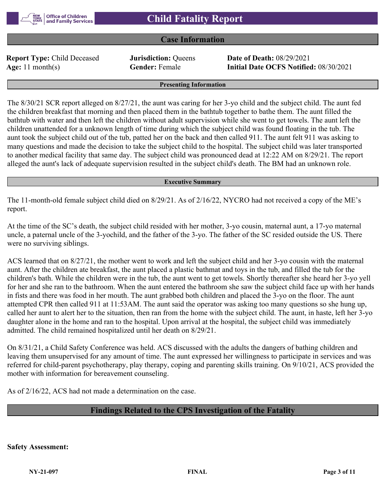

## **Case Information**

**Report Type:** Child Deceased **Jurisdiction:** Queens **Date of Death:** 08/29/2021

**Age:** 11 month(s) **Gender:** Female **Initial Date OCFS Notified:** 08/30/2021

#### **Presenting Information**

The 8/30/21 SCR report alleged on 8/27/21, the aunt was caring for her 3-yo child and the subject child. The aunt fed the children breakfast that morning and then placed them in the bathtub together to bathe them. The aunt filled the bathtub with water and then left the children without adult supervision while she went to get towels. The aunt left the children unattended for a unknown length of time during which the subject child was found floating in the tub. The aunt took the subject child out of the tub, patted her on the back and then called 911. The aunt felt 911 was asking to many questions and made the decision to take the subject child to the hospital. The subject child was later transported to another medical facility that same day. The subject child was pronounced dead at 12:22 AM on 8/29/21. The report alleged the aunt's lack of adequate supervision resulted in the subject child's death. The BM had an unknown role.

#### **Executive Summary**

The 11-month-old female subject child died on 8/29/21. As of 2/16/22, NYCRO had not received a copy of the ME's report.

At the time of the SC's death, the subject child resided with her mother, 3-yo cousin, maternal aunt, a 17-yo maternal uncle, a paternal uncle of the 3-yochild, and the father of the 3-yo. The father of the SC resided outside the US. There were no surviving siblings.

ACS learned that on 8/27/21, the mother went to work and left the subject child and her 3-yo cousin with the maternal aunt. After the children ate breakfast, the aunt placed a plastic bathmat and toys in the tub, and filled the tub for the children's bath. While the children were in the tub, the aunt went to get towels. Shortly thereafter she heard her 3-yo yell for her and she ran to the bathroom. When the aunt entered the bathroom she saw the subject child face up with her hands in fists and there was food in her mouth. The aunt grabbed both children and placed the 3-yo on the floor. The aunt attempted CPR then called 911 at 11:53AM. The aunt said the operator was asking too many questions so she hung up, called her aunt to alert her to the situation, then ran from the home with the subject child. The aunt, in haste, left her 3-yo daughter alone in the home and ran to the hospital. Upon arrival at the hospital, the subject child was immediately admitted. The child remained hospitalized until her death on 8/29/21.

On 8/31/21, a Child Safety Conference was held. ACS discussed with the adults the dangers of bathing children and leaving them unsupervised for any amount of time. The aunt expressed her willingness to participate in services and was referred for child-parent psychotherapy, play therapy, coping and parenting skills training. On 9/10/21, ACS provided the mother with information for bereavement counseling.

As of 2/16/22, ACS had not made a determination on the case.

## **Findings Related to the CPS Investigation of the Fatality**

**Safety Assessment:**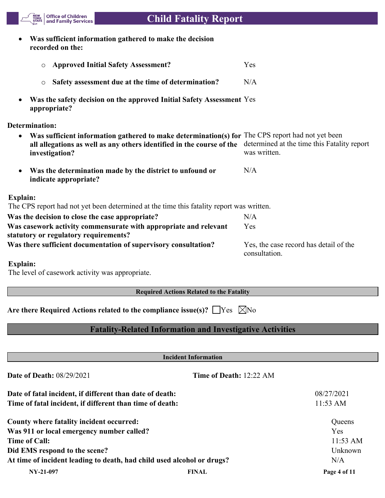**Was sufficient information gathered to make the decision recorded on the:**

Office of Children<br>| and Family Services

NEW<br>YORK<br>STATE

| <b>O</b> Approved Initial Safety Assessment?                                                                                                                                                             | Yes                                                         |
|----------------------------------------------------------------------------------------------------------------------------------------------------------------------------------------------------------|-------------------------------------------------------------|
| Safety assessment due at the time of determination?<br>$\circ$                                                                                                                                           | N/A                                                         |
| Was the safety decision on the approved Initial Safety Assessment Yes<br>appropriate?                                                                                                                    |                                                             |
| Determination:                                                                                                                                                                                           |                                                             |
| Was sufficient information gathered to make determination(s) for The CPS report had not yet been<br>$\bullet$<br>all allegations as well as any others identified in the course of the<br>investigation? | determined at the time this Fatality report<br>was written. |
| Was the determination made by the district to unfound or<br>indicate appropriate?                                                                                                                        | N/A                                                         |
| Explain:                                                                                                                                                                                                 |                                                             |
| The CPS report had not yet been determined at the time this fatality report was written.                                                                                                                 |                                                             |
| Was the decision to close the case appropriate?                                                                                                                                                          | N/A                                                         |
| Was casework activity commensurate with appropriate and relevant<br>statutory or regulatory requirements?                                                                                                | Yes                                                         |

**Was there sufficient documentation of supervisory consultation?** Yes, the case record has detail of the consultation.

### **Explain:**

The level of casework activity was appropriate.

## **Required Actions Related to the Fatality**

Are there Required Actions related to the compliance issue(s)?  $\Box$  Yes  $\Box$  No

# **Fatality-Related Information and Investigative Activities**

| <b>Incident Information</b>                                            |                         |                    |  |
|------------------------------------------------------------------------|-------------------------|--------------------|--|
| <b>Date of Death: 08/29/2021</b>                                       | Time of Death: 12:22 AM |                    |  |
| Date of fatal incident, if different than date of death:               |                         | 08/27/2021         |  |
| Time of fatal incident, if different than time of death:               |                         | $11:53 \text{ AM}$ |  |
| County where fatality incident occurred:                               |                         | Queens             |  |
| Was 911 or local emergency number called?                              |                         | <b>Yes</b>         |  |
| <b>Time of Call:</b>                                                   |                         | $11:53$ AM         |  |
| Did EMS respond to the scene?                                          |                         | Unknown            |  |
| At time of incident leading to death, had child used alcohol or drugs? |                         | N/A                |  |
| NY-21-097                                                              | <b>FINAL</b>            | Page 4 of 11       |  |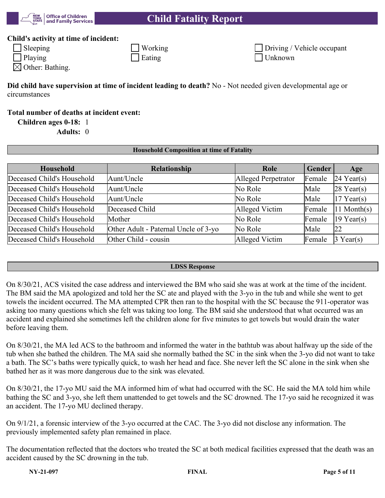

## **Child's activity at time of incident:**

| $\Box$ Sleeping | Working        |  |
|-----------------|----------------|--|
| $\vert$ Playing | $\perp$ Eating |  |

|                   | Driving / Vehicle occupant |
|-------------------|----------------------------|
| $\exists$ Unknown |                            |

 $\boxtimes$  Other: Bathing.

**Did child have supervision at time of incident leading to death?** No - Not needed given developmental age or circumstances

**Total number of deaths at incident event:**

**Children ages 0-18:** 1

**Adults:** 0

| <b>Household Composition at time of Fatality</b> |  |
|--------------------------------------------------|--|
|                                                  |  |

| Household                  | Relationship                         | Role                | Gender | Age                     |
|----------------------------|--------------------------------------|---------------------|--------|-------------------------|
| Deceased Child's Household | Aunt/Uncle                           | Alleged Perpetrator | Female | $24$ Year(s)            |
| Deceased Child's Household | Aunt/Uncle                           | No Role             | Male   | $28$ Year(s)            |
| Deceased Child's Household | Aunt/Uncle                           | No Role             | Male   | $17$ Year(s)            |
| Deceased Child's Household | Deceased Child                       | Alleged Victim      | Female | $ 11 \text{ Month}(s) $ |
| Deceased Child's Household | Mother                               | No Role             | Female | $19$ Year(s)            |
| Deceased Child's Household | Other Adult - Paternal Uncle of 3-yo | No Role             | Male   | 22                      |
| Deceased Child's Household | Other Child - cousin                 | Alleged Victim      | Female | $3$ Year(s)             |

### **LDSS Response**

On 8/30/21, ACS visited the case address and interviewed the BM who said she was at work at the time of the incident. The BM said the MA apologized and told her the SC ate and played with the 3-yo in the tub and while she went to get towels the incident occurred. The MA attempted CPR then ran to the hospital with the SC because the 911-operator was asking too many questions which she felt was taking too long. The BM said she understood that what occurred was an accident and explained she sometimes left the children alone for five minutes to get towels but would drain the water before leaving them.

On 8/30/21, the MA led ACS to the bathroom and informed the water in the bathtub was about halfway up the side of the tub when she bathed the children. The MA said she normally bathed the SC in the sink when the 3-yo did not want to take a bath. The SC's baths were typically quick, to wash her head and face. She never left the SC alone in the sink when she bathed her as it was more dangerous due to the sink was elevated.

On 8/30/21, the 17-yo MU said the MA informed him of what had occurred with the SC. He said the MA told him while bathing the SC and 3-yo, she left them unattended to get towels and the SC drowned. The 17-yo said he recognized it was an accident. The 17-yo MU declined therapy.

On 9/1/21, a forensic interview of the 3-yo occurred at the CAC. The 3-yo did not disclose any information. The previously implemented safety plan remained in place.

The documentation reflected that the doctors who treated the SC at both medical facilities expressed that the death was an accident caused by the SC drowning in the tub.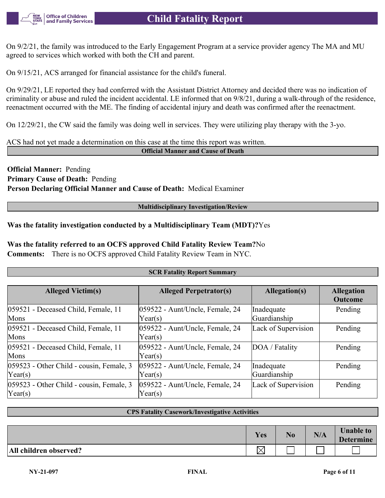

On 9/2/21, the family was introduced to the Early Engagement Program at a service provider agency The MA and MU agreed to services which worked with both the CH and parent.

On 9/15/21, ACS arranged for financial assistance for the child's funeral.

On 9/29/21, LE reported they had conferred with the Assistant District Attorney and decided there was no indication of criminality or abuse and ruled the incident accidental. LE informed that on 9/8/21, during a walk-through of the residence, reenactment occurred with the ME. The finding of accidental injury and death was confirmed after the reenactment.

On 12/29/21, the CW said the family was doing well in services. They were utilizing play therapy with the 3-yo.

ACS had not yet made a determination on this case at the time this report was written.

**Official Manner and Cause of Death**

**Official Manner:** Pending **Primary Cause of Death:** Pending **Person Declaring Official Manner and Cause of Death:** Medical Examiner

**Multidisciplinary Investigation/Review**

## **Was the fatality investigation conducted by a Multidisciplinary Team (MDT)?**Yes

**Was the fatality referred to an OCFS approved Child Fatality Review Team?**No

**Comments:** There is no OCFS approved Child Fatality Review Team in NYC.

### **SCR Fatality Report Summary**

| <b>Alleged Victim(s)</b>                                     | <b>Alleged Perpetrator(s)</b>                        | Allegation(s)              | <b>Allegation</b><br>Outcome |
|--------------------------------------------------------------|------------------------------------------------------|----------------------------|------------------------------|
| 059521 - Deceased Child, Female, 11<br>Mons                  | $ 059522 - \text{Aunt/Uncle},$ Female, 24<br>Year(s) | Inadequate<br>Guardianship | Pending                      |
| 059521 - Deceased Child, Female, 11<br>Mons                  | 059522 - Aunt/Uncle, Female, 24<br>Year(s)           | Lack of Supervision        | Pending                      |
| 059521 - Deceased Child, Female, 11<br>Mons                  | 059522 - Aunt/Uncle, Female, 24<br>Year(s)           | DOA / Fatality             | Pending                      |
| 059523 - Other Child - cousin, Female, 3<br>$\text{Year}(s)$ | 059522 - Aunt/Uncle, Female, 24<br>Year(s)           | Inadequate<br>Guardianship | Pending                      |
| 059523 - Other Child - cousin, Female, 3<br>$\text{Year}(s)$ | 059522 - Aunt/Uncle, Female, 24<br>Year(s)           | Lack of Supervision        | Pending                      |

### **CPS Fatality Casework/Investigative Activities**

|                        | Yes | N <sub>0</sub> | N/A | <b>Unable to</b><br><b>Determine</b> |
|------------------------|-----|----------------|-----|--------------------------------------|
| All children observed? | ╰   |                |     |                                      |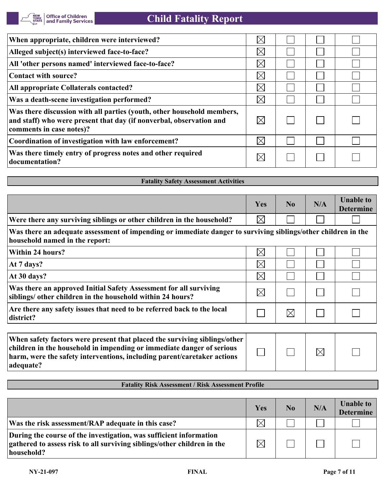| When appropriate, children were interviewed?                                                                                                                              | $\times$    |  |  |
|---------------------------------------------------------------------------------------------------------------------------------------------------------------------------|-------------|--|--|
| Alleged subject(s) interviewed face-to-face?                                                                                                                              | $\times$    |  |  |
| All 'other persons named' interviewed face-to-face?                                                                                                                       | $\boxtimes$ |  |  |
| Contact with source?                                                                                                                                                      | $\boxtimes$ |  |  |
| All appropriate Collaterals contacted?                                                                                                                                    | $\boxtimes$ |  |  |
| Was a death-scene investigation performed?                                                                                                                                | $\boxtimes$ |  |  |
| Was there discussion with all parties (youth, other household members,<br>and staff) who were present that day (if nonverbal, observation and<br>comments in case notes)? |             |  |  |
| Coordination of investigation with law enforcement?                                                                                                                       | $\boxtimes$ |  |  |
| Was there timely entry of progress notes and other required<br>documentation?                                                                                             |             |  |  |

# **Fatality Safety Assessment Activities**

|                                                                                                                                                 | Yes         | No          | N/A | <b>Unable to</b><br><b>Determine</b> |
|-------------------------------------------------------------------------------------------------------------------------------------------------|-------------|-------------|-----|--------------------------------------|
| Were there any surviving siblings or other children in the household?                                                                           | $\boxtimes$ |             |     |                                      |
| Was there an adequate assessment of impending or immediate danger to surviving siblings/other children in the<br>household named in the report: |             |             |     |                                      |
| Within 24 hours?                                                                                                                                | $\boxtimes$ |             |     |                                      |
| At 7 days?                                                                                                                                      | $\boxtimes$ |             |     |                                      |
| At 30 days?                                                                                                                                     | $\boxtimes$ |             |     |                                      |
| Was there an approved Initial Safety Assessment for all surviving<br>siblings/ other children in the household within 24 hours?                 | $\boxtimes$ |             |     |                                      |
| Are there any safety issues that need to be referred back to the local<br>district?                                                             |             | $\boxtimes$ |     |                                      |
|                                                                                                                                                 |             |             |     |                                      |
| When safety factors were present that placed the surviving siblings/other                                                                       |             |             |     |                                      |

| When safety factors were present that placed the surviving siblings/other |  |             |  |
|---------------------------------------------------------------------------|--|-------------|--|
| children in the household in impending or immediate danger of serious     |  | $\boxtimes$ |  |
| harm, were the safety interventions, including parent/caretaker actions   |  |             |  |
| adequate?                                                                 |  |             |  |

## **Fatality Risk Assessment / Risk Assessment Profile**

|                                                                                                                                                             | Yes         | No | N/A | <b>Unable to</b><br><b>Determine</b> |
|-------------------------------------------------------------------------------------------------------------------------------------------------------------|-------------|----|-----|--------------------------------------|
| Was the risk assessment/RAP adequate in this case?                                                                                                          | 'Xı         |    |     |                                      |
| During the course of the investigation, was sufficient information<br>gathered to assess risk to all surviving siblings/other children in the<br>household? | $\boxtimes$ |    |     |                                      |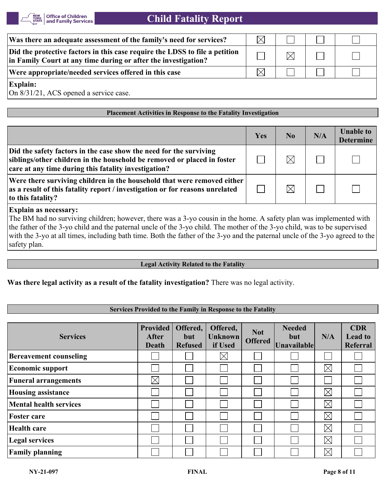

| Was there an adequate assessment of the family's need for services?                                                                           | $\times$ l |           |  |
|-----------------------------------------------------------------------------------------------------------------------------------------------|------------|-----------|--|
| Did the protective factors in this case require the LDSS to file a petition<br>in Family Court at any time during or after the investigation? |            | $\rtimes$ |  |
| Were appropriate/needed services offered in this case                                                                                         |            |           |  |
| <b>Explain:</b>                                                                                                                               |            |           |  |

On 8/31/21, ACS opened a service case.

### **Placement Activities in Response to the Fatality Investigation**

|                                                                                                                                                                                                       | Yes | $\bf No$ | N/A | <b>Unable to</b><br><b>Determine</b> |
|-------------------------------------------------------------------------------------------------------------------------------------------------------------------------------------------------------|-----|----------|-----|--------------------------------------|
| Did the safety factors in the case show the need for the surviving<br>siblings/other children in the household be removed or placed in foster<br>care at any time during this fatality investigation? |     |          |     |                                      |
| Were there surviving children in the household that were removed either<br>as a result of this fatality report / investigation or for reasons unrelated<br>to this fatality?                          |     |          |     |                                      |

### **Explain as necessary:**

The BM had no surviving children; however, there was a 3-yo cousin in the home. A safety plan was implemented with the father of the 3-yo child and the paternal uncle of the 3-yo child. The mother of the 3-yo child, was to be supervised with the 3-yo at all times, including bath time. Both the father of the 3-yo and the paternal uncle of the 3-yo agreed to the safety plan.

#### **Legal Activity Related to the Fatality**

**Was there legal activity as a result of the fatality investigation?** There was no legal activity.

### **Services Provided to the Family in Response to the Fatality**

| <b>Services</b>               | <b>Provided</b><br><b>After</b><br><b>Death</b> | Offered,<br>but<br><b>Refused</b> | Offered,<br><b>Unknown</b><br>if Used | <b>Not</b><br><b>Offered</b> | <b>Needed</b><br>but<br><b>Unavailable</b> | N/A         | <b>CDR</b><br><b>Lead to</b><br>Referral |
|-------------------------------|-------------------------------------------------|-----------------------------------|---------------------------------------|------------------------------|--------------------------------------------|-------------|------------------------------------------|
| <b>Bereavement counseling</b> |                                                 |                                   | $\boxtimes$                           |                              |                                            |             |                                          |
| <b>Economic support</b>       |                                                 |                                   |                                       |                              |                                            | $\boxtimes$ |                                          |
| <b>Funeral arrangements</b>   | $\boxtimes$                                     |                                   |                                       |                              |                                            |             |                                          |
| <b>Housing assistance</b>     |                                                 |                                   |                                       |                              |                                            | $\boxtimes$ |                                          |
| <b>Mental health services</b> |                                                 |                                   |                                       |                              |                                            | $\boxtimes$ |                                          |
| <b>Foster care</b>            |                                                 |                                   |                                       |                              |                                            | $\boxtimes$ |                                          |
| <b>Health care</b>            |                                                 |                                   |                                       |                              |                                            | $\boxtimes$ |                                          |
| <b>Legal services</b>         |                                                 |                                   |                                       |                              |                                            | $\boxtimes$ |                                          |
| <b>Family planning</b>        |                                                 |                                   |                                       |                              |                                            | $\times$    |                                          |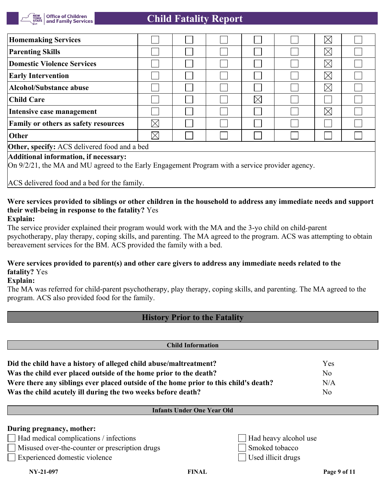

| <b>Homemaking Services</b>                                                                                                               |             |  |  |          |  | $\boxtimes$ |  |
|------------------------------------------------------------------------------------------------------------------------------------------|-------------|--|--|----------|--|-------------|--|
| <b>Parenting Skills</b>                                                                                                                  |             |  |  |          |  | $\boxtimes$ |  |
| Domestic Violence Services                                                                                                               |             |  |  |          |  | $\boxtimes$ |  |
| <b>Early Intervention</b>                                                                                                                |             |  |  |          |  | $\boxtimes$ |  |
| Alcohol/Substance abuse                                                                                                                  |             |  |  |          |  | $\boxtimes$ |  |
| Child Care                                                                                                                               |             |  |  | $\times$ |  |             |  |
| Intensive case management                                                                                                                |             |  |  |          |  | $\boxtimes$ |  |
| <b>Family or others as safety resources</b>                                                                                              | $\boxtimes$ |  |  |          |  |             |  |
| Other                                                                                                                                    | $\boxtimes$ |  |  |          |  |             |  |
| <b>Other, specify:</b> ACS delivered food and a bed                                                                                      |             |  |  |          |  |             |  |
| Additional information, if necessary:<br>On 9/2/21, the MA and MU agreed to the Early Engagement Program with a service provider agency. |             |  |  |          |  |             |  |

ACS delivered food and a bed for the family.

### **Were services provided to siblings or other children in the household to address any immediate needs and support their well-being in response to the fatality?** Yes **Explain:**

The service provider explained their program would work with the MA and the 3-yo child on child-parent psychotherapy, play therapy, coping skills, and parenting. The MA agreed to the program. ACS was attempting to obtain bereavement services for the BM. ACS provided the family with a bed.

## **Were services provided to parent(s) and other care givers to address any immediate needs related to the fatality?** Yes

**Explain:**

The MA was referred for child-parent psychotherapy, play therapy, coping skills, and parenting. The MA agreed to the program. ACS also provided food for the family.

# **History Prior to the Fatality**

| <b>Child Information</b>                                                             |                |
|--------------------------------------------------------------------------------------|----------------|
| Did the child have a history of alleged child abuse/maltreatment?                    | Yes            |
| Was the child ever placed outside of the home prior to the death?                    | N <sub>0</sub> |
| Were there any siblings ever placed outside of the home prior to this child's death? | N/A            |
| Was the child acutely ill during the two weeks before death?                         | No             |

## **Infants Under One Year Old**

## **During pregnancy, mother:**

Had medical complications / infections  $\Box$  Had heavy alcohol use

Misused over-the-counter or prescription drugs Smoked tobacco

Experienced domestic violence Used illicit drugs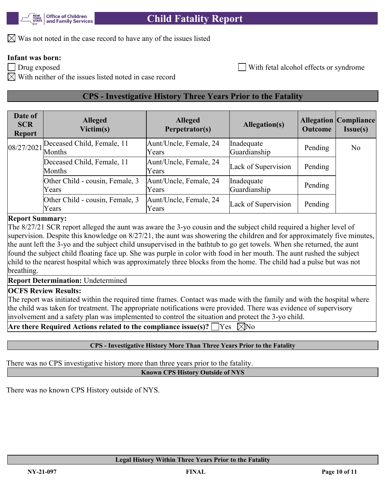$\boxtimes$  Was not noted in the case record to have any of the issues listed

# **Infant was born:**

Drug exposed and the state of the state of the Mith fetal alcohol effects or syndrome

 $\boxtimes$  With neither of the issues listed noted in case record

# **CPS - Investigative History Three Years Prior to the Fatality**

| Date of<br><b>SCR</b><br><b>Report</b> | <b>Alleged</b><br>Victim(s)              | <b>Alleged</b><br>Perpetrator(s) | <b>Allegation(s)</b>       | <b>Outcome</b> | <b>Allegation Compliance</b><br><b>Issue(s)</b> |
|----------------------------------------|------------------------------------------|----------------------------------|----------------------------|----------------|-------------------------------------------------|
| 08/27/2021                             | Deceased Child, Female, 11<br>Months     | Aunt/Uncle, Female, 24<br>Years  | Inadequate<br>Guardianship | Pending        | N <sub>o</sub>                                  |
|                                        | Deceased Child, Female, 11<br>Months     | Aunt/Uncle, Female, 24<br>Years  | Lack of Supervision        | Pending        |                                                 |
|                                        | Other Child - cousin, Female, 3<br>Years | Aunt/Uncle, Female, 24<br>Years  | Inadequate<br>Guardianship | Pending        |                                                 |
|                                        | Other Child - cousin, Female, 3<br>Years | Aunt/Uncle, Female, 24<br>Years  | Lack of Supervision        | Pending        |                                                 |

## **Report Summary:**

The 8/27/21 SCR report alleged the aunt was aware the 3-yo cousin and the subject child required a higher level of supervision. Despite this knowledge on  $8/27/21$ , the aunt was showering the children and for approximately five minutes, the aunt left the 3-yo and the subject child unsupervised in the bathtub to go get towels. When she returned, the aunt found the subject child floating face up. She was purple in color with food in her mouth. The aunt rushed the subject child to the nearest hospital which was approximately three blocks from the home. The child had a pulse but was not breathing.

**Report Determination:** Undetermined

## **OCFS Review Results:**

The report was initiated within the required time frames. Contact was made with the family and with the hospital where the child was taken for treatment. The appropriate notifications were provided. There was evidence of supervisory involvement and a safety plan was implemented to control the situation and protect the 3-yo child.

**Are there Required Actions related to the compliance issue(s)?**  $\Box$  **Yes**  $\Box$  **No** 

## **CPS - Investigative History More Than Three Years Prior to the Fatality**

There was no CPS investigative history more than three years prior to the fatality. **Known CPS History Outside of NYS**

There was no known CPS History outside of NYS.